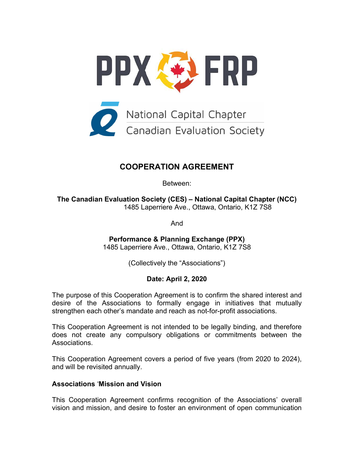

# **COOPERATION AGREEMENT**

Between:

**The Canadian Evaluation Society (CES) – National Capital Chapter (NCC)** 1485 Laperriere Ave., Ottawa, Ontario, K1Z 7S8

And

**Performance & Planning Exchange (PPX)** 1485 Laperriere Ave., Ottawa, Ontario, K1Z 7S8

(Collectively the "Associations")

# **Date: April 2, 2020**

The purpose of this Cooperation Agreement is to confirm the shared interest and desire of the Associations to formally engage in initiatives that mutually strengthen each other's mandate and reach as not-for-profit associations*.*

This Cooperation Agreement is not intended to be legally binding, and therefore does not create any compulsory obligations or commitments between the Associations.

This Cooperation Agreement covers a period of five years (from 2020 to 2024), and will be revisited annually.

## **Associations** '**Mission and Vision**

This Cooperation Agreement confirms recognition of the Associations' overall vision and mission, and desire to foster an environment of open communication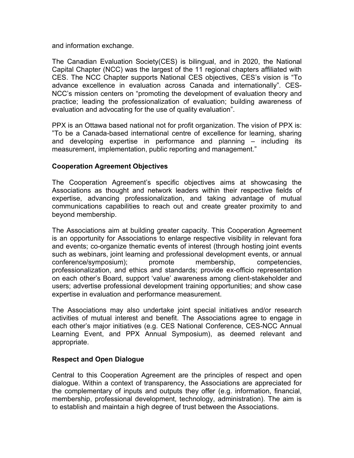and information exchange.

The Canadian Evaluation Society(CES) is bilingual, and in 2020, the National Capital Chapter (NCC) was the largest of the 11 regional chapters affiliated with CES. The NCC Chapter supports National CES objectives, CES's vision is "To advance excellence in evaluation across Canada and internationally". CES-NCC's mission centers on "promoting the development of evaluation theory and practice; leading the professionalization of evaluation; building awareness of evaluation and advocating for the use of quality evaluation".

PPX is an Ottawa based national not for profit organization. The vision of PPX is: "To be a Canada-based international centre of excellence for learning, sharing and developing expertise in performance and planning – including its measurement, implementation, public reporting and management."

## **Cooperation Agreement Objectives**

The Cooperation Agreement's specific objectives aims at showcasing the Associations as thought and network leaders within their respective fields of expertise, advancing professionalization, and taking advantage of mutual communications capabilities to reach out and create greater proximity to and beyond membership.

The Associations aim at building greater capacity. This Cooperation Agreement is an opportunity for Associations to enlarge respective visibility in relevant fora and events; co-organize thematic events of interest (through hosting joint events such as webinars, joint learning and professional development events, or annual conference/symposium); promote membership, competencies, professionalization, and ethics and standards; provide ex-officio representation on each other's Board, support 'value' awareness among client-stakeholder and users; advertise professional development training opportunities; and show case expertise in evaluation and performance measurement.

The Associations may also undertake joint special initiatives and/or research activities of mutual interest and benefit. The Associations agree to engage in each other's major initiatives (e.g. CES National Conference, CES-NCC Annual Learning Event, and PPX Annual Symposium), as deemed relevant and appropriate.

## **Respect and Open Dialogue**

Central to this Cooperation Agreement are the principles of respect and open dialogue. Within a context of transparency, the Associations are appreciated for the complementary of inputs and outputs they offer (e.g. information, financial, membership, professional development, technology, administration). The aim is to establish and maintain a high degree of trust between the Associations.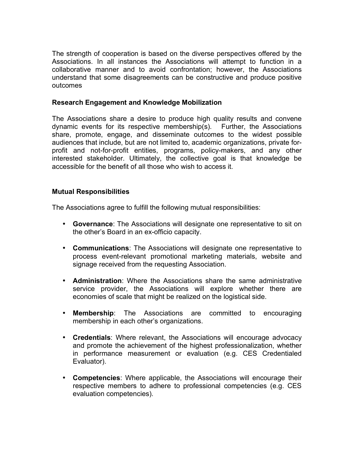The strength of cooperation is based on the diverse perspectives offered by the Associations. In all instances the Associations will attempt to function in a collaborative manner and to avoid confrontation; however, the Associations understand that some disagreements can be constructive and produce positive outcomes

## **Research Engagement and Knowledge Mobilization**

The Associations share a desire to produce high quality results and convene dynamic events for its respective membership(s). Further, the Associations share, promote, engage, and disseminate outcomes to the widest possible audiences that include, but are not limited to, academic organizations, private forprofit and not-for-profit entities, programs, policy-makers, and any other interested stakeholder. Ultimately, the collective goal is that knowledge be accessible for the benefit of all those who wish to access it.

#### **Mutual Responsibilities**

The Associations agree to fulfill the following mutual responsibilities:

- **Governance**: The Associations will designate one representative to sit on the other's Board in an ex-officio capacity.
- **Communications**: The Associations will designate one representative to process event-relevant promotional marketing materials, website and signage received from the requesting Association.
- **Administration**: Where the Associations share the same administrative service provider, the Associations will explore whether there are economies of scale that might be realized on the logistical side.
- **Membership**: The Associations are committed to encouraging membership in each other's organizations.
- **Credentials**: Where relevant, the Associations will encourage advocacy and promote the achievement of the highest professionalization, whether in performance measurement or evaluation (e.g. CES Credentialed Evaluator).
- **Competencies**: Where applicable, the Associations will encourage their respective members to adhere to professional competencies (e.g. CES evaluation competencies).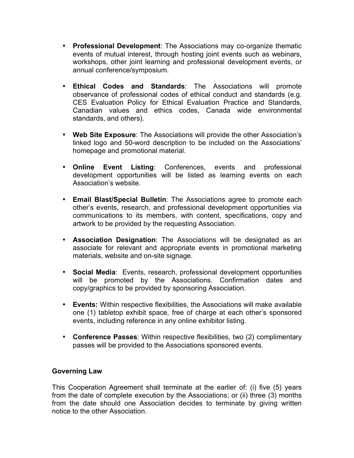- **Professional Development**: The Associations may co-organize thematic events of mutual interest, through hosting joint events such as webinars, workshops, other joint learning and professional development events, or annual conference/symposium.
- **Ethical Codes and Standards**: The Associations will promote observance of professional codes of ethical conduct and standards (e.g. CES Evaluation Policy for Ethical Evaluation Practice and Standards, Canadian values and ethics codes, Canada wide environmental standards, and others).
- **Web Site Exposure**: The Associations will provide the other Association's linked logo and 50-word description to be included on the Associations' homepage and promotional material.
- **Online Event Listing**: Conferences, events and professional development opportunities will be listed as learning events on each Association's website.
- **Email Blast/Special Bulletin**: The Associations agree to promote each other's events, research, and professional development opportunities via communications to its members, with content, specifications, copy and artwork to be provided by the requesting Association.
- **Association Designation**: The Associations will be designated as an associate for relevant and appropriate events in promotional marketing materials, website and on-site signage.
- **Social Media**: Events, research, professional development opportunities will be promoted by the Associations. Confirmation dates and copy/graphics to be provided by sponsoring Association.
- **Events:** Within respective flexibilities, the Associations will make available one (1) tabletop exhibit space, free of charge at each other's sponsored events, including reference in any online exhibitor listing.
- **Conference Passes**: Within respective flexibilities, two (2) complimentary passes will be provided to the Associations sponsored events.

# **Governing Law**

This Cooperation Agreement shall terminate at the earlier of: (i) five (5) years from the date of complete execution by the Associations; or (ii) three (3) months from the date should one Association decides to terminate by giving written notice to the other Association.